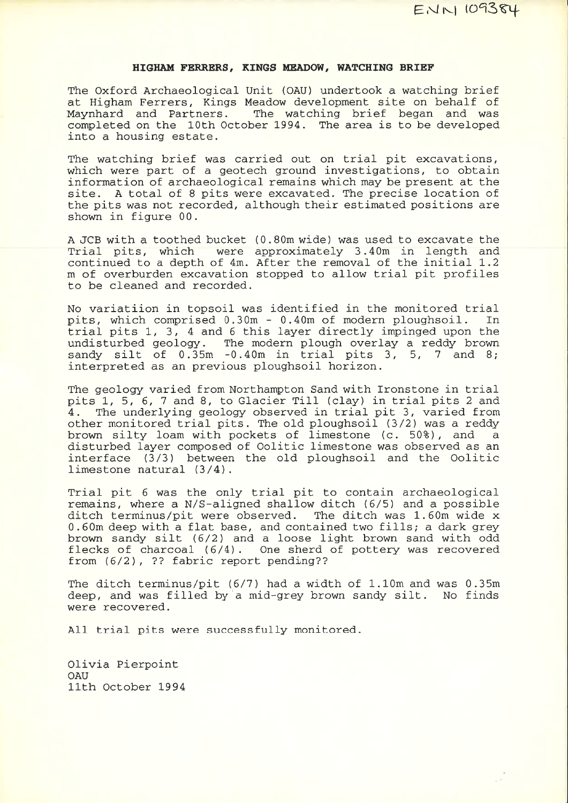## HIGHAM FERRERS, KINGS MEADOW, WATCHING BRIEF

The Oxford Archaeological Unit (OAU) undertook a watching brief at Higham Ferrers, Kings Meadow development site on behalf of Maynhard and ParLners. The waLching brief began and wascompleted on the 10th October 1994. The area is to be developed into a housing estate.

The watching brief was carried out on trial pit excavations, which were part of a geotech ground investigations, to obtain information of archaeological remains which may be present at thesite. A total of 8 pits were excavated. The precise location of the pits was not recorded, although their estimated positions are shown in figure 00.

A JCB with a toothed bucket  $(0.80m$  wide) was used to excavate the Trial pits, which were approximately 3.40m in length and continued to a depth of 4m. After the removal of the initial 1.2 m of overburden excavation stopped to a1low trial pit profilesto be cleaned and recorded.

No variatiion in topsoil was identified in the monitored trial<br>pits, which comprised 0.30m - 0.40m of modern ploughsoil. In pits, which comprised  $0.30m - 0.40m$  of modern ploughsoil. trial pits 1, 3, 4 and 6 this layer directly impinged upon the undisturbed geology. The modern plough overlay a reddy brownsandy silt of  $0.\overline{3}5m -0.40m$  in trial pits 3, 5, 7 and 8; interpreted as an previous ploughsoil horizon.

The geology varied from Northampton Sand with Ironstone in trial pits 1, 5, 6, 7 and 8, to Glacier Till (clay) in trial pits 2 and 4. The underlying geology observed in trial pit 3, varied from other monitored trial pits. The o1d ploughsoil (3/2) was <sup>a</sup>reddy brown silty loam with pockets of limestone (c. 50%), and disturbed layer composed of Oolitic limestone was observed as anainterface  $(3/3)$  between the old ploughsoil and the Oolitic limestone natural  $(3/4)$ .

Trial pit 6 was the only trial pit to contain archaeological remains, where a N/S-aligned shallow ditch (6/5) and a possible ditch terminus/pit were observed. 0.60m deep with a flat base, and contained two fills; a dark grey The ditch was 1.60m wide x brown sandy silt  $(6/2)$  and a loose light brown sand with odd flecks of charcoal (6/4). One sherd of pottery was recoveredfrom  $(6/2)$ , ?? fabric report pending??

The ditch terminus/pit  $(6/7)$  had a width of  $1.10$ m and was  $0.35$ m deep, and was filled by a mid-grey brown sandy silt. No finds were recovered.

All trial pits were successfully monitored.

Olivia Pierpoint**OAU** 11th October 1994